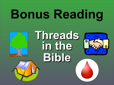# **Bonus Reading**





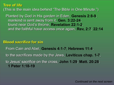**Tree of life**  (This is the main idea behind "The Bible in One Minute.")

Planted by God in His garden in Eden, **Genesis 2:8-9**; mankind is sent away from it, **Gen. 3:22-24**; found near God's throne, **Revelation 22:1-2**, and the faithful have access once again, **Rev, 2:7**; **22:14**

**Blood sacrifice for sin** From Cain and Abel, **Genesis 4:1-7**; **Hebrews 11:4**, to the sacrifices made by the Jews, **Leviticus chap. 1-7**, to Jesus' sacrifice on the cross, **John 1:29**; **Matt. 20:28**; **1 Peter 1:18-19**

*Continued on the next screen*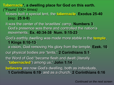## **Tabernacle\*, a dwelling place for God on this earth.**  *(\*Found 100+ times)*

Moses built a special tent, the **tabernacle**, **Exodus 25-40 (**esp. **25:8-9)**;

it was the center of the Israelites' camp, **Numbers 3**; God's presence was there and controlled the nation's movements, **Ex. 40:34-38**; **Num. 9:15-23**;

God's earthly dwelling was made more stable in the **temple**, **1 Kings 8:10-13**;

a vision, God removing His glory from the temple, **Ezek. 10**; our physical bodies are "tents," **2 Corinthians 5:1**; the Word of God "became flesh and dwelt (literally "**tabernacled**") among us," **John 1:14**;

**believers** are now God's dwelling, both as individuals, **1 Corinthians 6:19**, and as a church, **2 Corinthians 6:16**

*Continued on the next screen*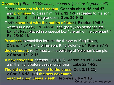**Covenant** *(\*Found 300+ times; means a "pact" or "agreement")* God's **covenant with Abraham**, **Genesis chap. 15 and 17**, and **promises** to bless him, **Gen. 12:1-3**, repeated to his son, **Gen**. **26:1-5**, and his grandson, **Gen. 35:9-12**. God's **covenant with the nation of Israel**, **Exodus 19:5-6**; written in a book, **Ex. 24:7-8**, and (partly) on stone tablets,

**Ex. 34:1-28**; placed in a special box "the ark of the covenant," **Ex. 25:10-16**.

**Promises** to establish forever the throne of King David, **2 Sam. 7:5-16**, and of his son, King Solomon, **1 Kings 9:1-9**; **the covenant**, reaffirmed at the building of Solomon's temple, **2 Chron. 15:12-15**;

**A new covenant**, foretold ~600 B.C., **Jeremiah 31:31-34**; and the night before Jesus' crucifixion, **Luke 22:14-20**; **The old covenant, nailed to the cross, Col. 2:13-23**; **2 Cor. 3:5-18**; and **the new covenant, enacted upon Jesus' death, Hebrews 8:6 – 9:16** *Continued on the next screen*